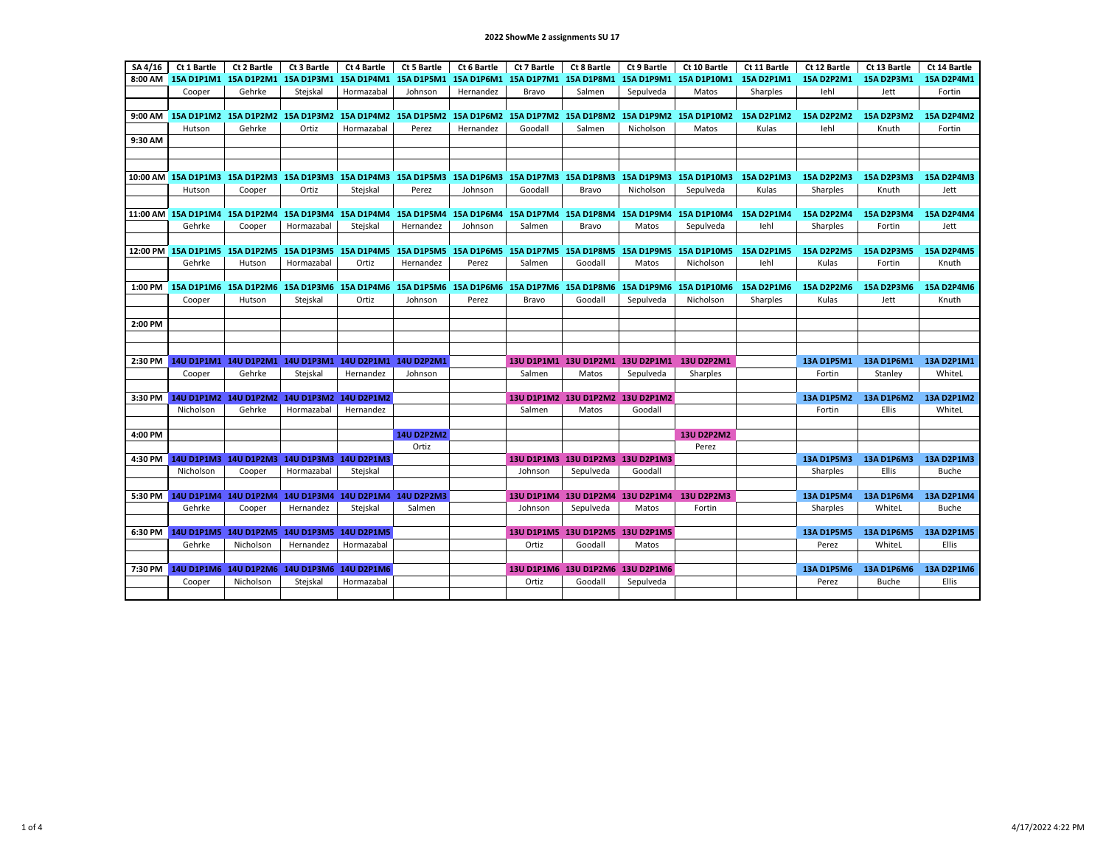| SA 4/16 | Ct 1 Bartle | Ct 2 Bartle                                            | Ct 3 Bartle       | Ct 4 Bartle       | Ct 5 Bartle       | Ct 6 Bartle | Ct 7 Bartle                      | Ct 8 Bartle                                                                             | Ct 9 Bartle | Ct 10 Bartle                                                                                                            | Ct 11 Bartle      | Ct 12 Bartle      | Ct 13 Bartle      | Ct 14 Bartle      |
|---------|-------------|--------------------------------------------------------|-------------------|-------------------|-------------------|-------------|----------------------------------|-----------------------------------------------------------------------------------------|-------------|-------------------------------------------------------------------------------------------------------------------------|-------------------|-------------------|-------------------|-------------------|
| 8:00 AM |             | 15A D1P1M1 15A D1P2M1 15A D1P3M1 15A D1P4M1            |                   |                   | 15A D1P5M1        |             | 15A D1P6M1 15A D1P7M1 15A D1P8M1 |                                                                                         |             | 15A D1P9M1 15A D1P10M1                                                                                                  | 15A D2P1M1        | 15A D2P2M1        | 15A D2P3M1        | 15A D2P4M1        |
|         | Cooper      | Gehrke                                                 | Stejskal          | Hormazabal        | Johnson           | Hernandez   | Bravo                            | Salmen                                                                                  | Sepulveda   | Matos                                                                                                                   | Sharples          | lehl              | Jett              | Fortin            |
|         |             |                                                        |                   |                   |                   |             |                                  |                                                                                         |             |                                                                                                                         |                   |                   |                   |                   |
|         |             |                                                        |                   |                   |                   |             |                                  |                                                                                         |             |                                                                                                                         |                   |                   |                   |                   |
| 9:00 AM |             | 15A D1P1M2 15A D1P2M2 15A D1P3M2 15A D1P4M2 15A D1P5M2 |                   |                   |                   |             |                                  | 15A D1P6M2 15A D1P7M2 15A D1P8M2                                                        |             | 15A D1P9M2 15A D1P10M2                                                                                                  | 15A D2P1M2        | <b>15A D2P2M2</b> | 15A D2P3M2        | 15A D2P4M2        |
|         | Hutson      | Gehrke                                                 | Ortiz             | Hormazabal        | Perez             | Hernandez   | Goodall                          | Salmen                                                                                  | Nicholson   | Matos                                                                                                                   | Kulas             | lehl              | Knuth             | Fortin            |
| 9:30 AM |             |                                                        |                   |                   |                   |             |                                  |                                                                                         |             |                                                                                                                         |                   |                   |                   |                   |
|         |             |                                                        |                   |                   |                   |             |                                  |                                                                                         |             |                                                                                                                         |                   |                   |                   |                   |
|         |             |                                                        |                   |                   |                   |             |                                  |                                                                                         |             |                                                                                                                         |                   |                   |                   |                   |
|         |             |                                                        |                   |                   |                   |             |                                  |                                                                                         |             | 10:00 AM 15A D1P1M3 15A D1P2M3 15A D1P3M3 15A D1P4M3 15A D1P5M3 15A D1P6M3 15A D1P7M3 15A D1P8M3 15A D1P9M3 15A D1P10M3 | 15A D2P1M3        | <b>15A D2P2M3</b> | 15A D2P3M3        | <b>15A D2P4M3</b> |
|         | Hutson      | Cooper                                                 | Ortiz             | Stejskal          | Perez             | Johnson     | Goodall                          | Bravo                                                                                   | Nicholson   | Sepulveda                                                                                                               | Kulas             | Sharples          | Knuth             | Jett              |
|         |             |                                                        |                   |                   |                   |             |                                  |                                                                                         |             |                                                                                                                         |                   |                   |                   |                   |
|         |             |                                                        |                   |                   |                   |             |                                  |                                                                                         |             | 11:00 AM 15A D1P1M4 15A D1P2M4 15A D1P3M4 15A D1P4M4 15A D1P5M4 15A D1P6M4 15A D1P7M4 15A D1P8M4 15A D1P9M4 15A D1P10M4 | 15A D2P1M4        | 15A D2P2M4        | 15A D2P3M4        | 15A D2P4M4        |
|         | Gehrke      | Cooper                                                 | Hormazabal        | Stejskal          | Hernandez         | Johnson     | Salmen                           | Bravo                                                                                   | Matos       | Sepulveda                                                                                                               | lehl              | Sharples          | Fortin            | Jett              |
|         |             |                                                        |                   |                   |                   |             |                                  |                                                                                         |             |                                                                                                                         |                   |                   |                   |                   |
|         |             |                                                        |                   |                   |                   |             |                                  |                                                                                         |             |                                                                                                                         |                   |                   |                   |                   |
|         |             |                                                        |                   |                   |                   |             |                                  |                                                                                         |             | 12:00 PM 15A D1P1M5 15A D1P2M5 15A D1P3M5 15A D1P4M5 15A D1P5M5 15A D1P6M5 15A D1P7M5 15A D1P8M5 15A D1P9M5 15A D1P10M5 | <b>15A D2P1M5</b> | <b>15A D2P2M5</b> | <b>15A D2P3M5</b> | <b>15A D2P4M5</b> |
|         | Gehrke      | Hutson                                                 | Hormazabal        | Ortiz             | Hernandez         | Perez       | Salmen                           | Goodall                                                                                 | Matos       | Nicholson                                                                                                               | lehl              | Kulas             | Fortin            | Knuth             |
|         |             |                                                        |                   |                   |                   |             |                                  |                                                                                         |             |                                                                                                                         |                   |                   |                   |                   |
| 1:00 PM |             |                                                        |                   |                   |                   |             |                                  | 15A D1P1M6 15A D1P2M6 15A D1P3M6 15A D1P4M6 15A D1P5M6 15A D1P6M6 15A D1P7M6 15A D1P8M6 |             | 15A D1P9M6 15A D1P10M6                                                                                                  | 15A D2P1M6        | 15A D2P2M6        | 15A D2P3M6        | 15A D2P4M6        |
|         | Cooper      | Hutson                                                 | Stejskal          | Ortiz             | Johnson           | Perez       | Bravo                            | Goodall                                                                                 | Sepulveda   | Nicholson                                                                                                               | Sharples          | Kulas             | Jett              | Knuth             |
|         |             |                                                        |                   |                   |                   |             |                                  |                                                                                         |             |                                                                                                                         |                   |                   |                   |                   |
| 2:00 PM |             |                                                        |                   |                   |                   |             |                                  |                                                                                         |             |                                                                                                                         |                   |                   |                   |                   |
|         |             |                                                        |                   |                   |                   |             |                                  |                                                                                         |             |                                                                                                                         |                   |                   |                   |                   |
|         |             |                                                        |                   |                   |                   |             |                                  |                                                                                         |             |                                                                                                                         |                   |                   |                   |                   |
| 2:30 PM |             | 14U D1P1M1 14U D1P2M1 14U D1P3M1 14U D2P1M1 14U D2P2M1 |                   |                   |                   |             |                                  | 13U D1P1M1 13U D1P2M1 13U D2P1M1                                                        |             | <b>13U D2P2M1</b>                                                                                                       |                   | 13A D1P5M1        | 13A D1P6M1        | 13A D2P1M1        |
|         | Cooper      | Gehrke                                                 | Stejskal          | Hernandez         | Johnson           |             | Salmen                           | Matos                                                                                   | Sepulveda   | Sharples                                                                                                                |                   | Fortin            | Stanley           | WhiteL            |
|         |             |                                                        |                   |                   |                   |             |                                  |                                                                                         |             |                                                                                                                         |                   |                   |                   |                   |
|         |             | 3:30 PM 14U D1P1M2 14U D1P2M2 14U D1P3M2 14U D2P1M2    |                   |                   |                   |             |                                  | 13U D1P1M2 13U D1P2M2 13U D2P1M2                                                        |             |                                                                                                                         |                   | 13A D1P5M2        | 13A D1P6M2        | <b>13A D2P1M2</b> |
|         | Nicholson   | Gehrke                                                 | Hormazabal        | Hernandez         |                   |             | Salmen                           | Matos                                                                                   | Goodall     |                                                                                                                         |                   | Fortin            | Ellis             | WhiteL            |
|         |             |                                                        |                   |                   |                   |             |                                  |                                                                                         |             |                                                                                                                         |                   |                   |                   |                   |
|         |             |                                                        |                   |                   |                   |             |                                  |                                                                                         |             |                                                                                                                         |                   |                   |                   |                   |
| 4:00 PM |             |                                                        |                   |                   | <b>14U D2P2M2</b> |             |                                  |                                                                                         |             | <b>13U D2P2M2</b>                                                                                                       |                   |                   |                   |                   |
|         |             |                                                        |                   |                   | Ortiz             |             |                                  |                                                                                         |             | Perez                                                                                                                   |                   |                   |                   |                   |
| 4:30 PM |             | 14U D1P1M3 14U D1P2M3 14U D1P3M3 14U D2P1M3            |                   |                   |                   |             | <b>13U D1P1M3</b>                | 13U D1P2M3 13U D2P1M3                                                                   |             |                                                                                                                         |                   | 13A D1P5M3        | 13A D1P6M3        | 13A D2P1M3        |
|         | Nicholson   | Cooper                                                 | Hormazabal        | Stejskal          |                   |             | Johnson                          | Sepulveda                                                                               | Goodall     |                                                                                                                         |                   | Sharples          | <b>Ellis</b>      | <b>Buche</b>      |
|         |             |                                                        |                   |                   |                   |             |                                  |                                                                                         |             |                                                                                                                         |                   |                   |                   |                   |
| 5:30 PM |             | 14U D1P1M4 14U D1P2M4 14U D1P3M4 14U D2P1M4 14U D2P2M3 |                   |                   |                   |             | <b>13U D1P1M4</b>                |                                                                                         |             | 13U D1P2M4 13U D2P1M4 13U D2P2M3                                                                                        |                   | 13A D1P5M4        | 13A D1P6M4        | 13A D2P1M4        |
|         | Gehrke      | Cooper                                                 | Hernandez         | Stejskal          | Salmen            |             | Johnson                          | Sepulveda                                                                               | Matos       | Fortin                                                                                                                  |                   | Sharples          | WhiteL            | <b>Buche</b>      |
|         |             |                                                        |                   |                   |                   |             |                                  |                                                                                         |             |                                                                                                                         |                   |                   |                   |                   |
| 6:30 PM |             | 14U D1P1M5 14U D1P2M5                                  | <b>14U D1P3M5</b> | <b>14U D2P1M5</b> |                   |             |                                  | 13U D1P1M5 13U D1P2M5 13U D2P1M5                                                        |             |                                                                                                                         |                   | <b>13A D1P5M5</b> | <b>13A D1P6M5</b> | <b>13A D2P1M5</b> |
|         | Gehrke      | Nicholson                                              | Hernandez         | Hormazabal        |                   |             | Ortiz                            | Goodall                                                                                 | Matos       |                                                                                                                         |                   | Perez             | WhiteL            | Ellis             |
|         |             |                                                        |                   |                   |                   |             |                                  |                                                                                         |             |                                                                                                                         |                   |                   |                   |                   |
|         |             | 7:30 PM 14U D1P1M6 14U D1P2M6 14U D1P3M6 14U D2P1M6    |                   |                   |                   |             |                                  | 13U D1P1M6 13U D1P2M6 13U D2P1M6                                                        |             |                                                                                                                         |                   | 13A D1P5M6        | 13A D1P6M6        | 13A D2P1M6        |
|         | Cooper      | Nicholson                                              | Stejskal          | Hormazabal        |                   |             | Ortiz                            | Goodall                                                                                 | Sepulveda   |                                                                                                                         |                   | Perez             | Buche             | <b>Ellis</b>      |
|         |             |                                                        |                   |                   |                   |             |                                  |                                                                                         |             |                                                                                                                         |                   |                   |                   |                   |
|         |             |                                                        |                   |                   |                   |             |                                  |                                                                                         |             |                                                                                                                         |                   |                   |                   |                   |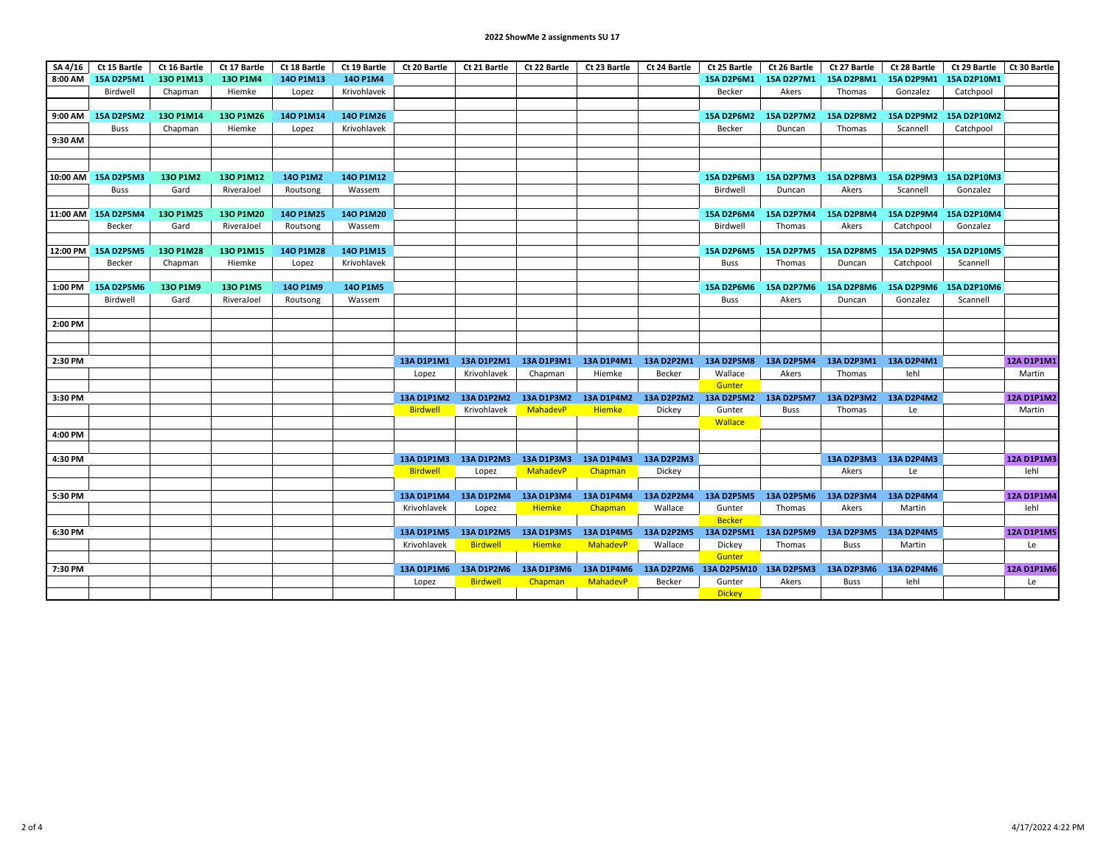## **2022 ShowMe 2 assignments SU 17**

| SA 4/16  | Ct 15 Bartle        | Ct 16 Bartle | Ct 17 Bartle | Ct 18 Bartle | Ct 19 Bartle | Ct 20 Bartle      | Ct 21 Bartle                     | Ct 22 Bartle  | Ct 23 Bartle          | Ct 24 Bartle | Ct 25 Bartle                                           | Ct 26 Bartle          | Ct 27 Bartle      | Ct 28 Bartle          | Ct 29 Bartle           | Ct 30 Bartle      |
|----------|---------------------|--------------|--------------|--------------|--------------|-------------------|----------------------------------|---------------|-----------------------|--------------|--------------------------------------------------------|-----------------------|-------------------|-----------------------|------------------------|-------------------|
|          | 8:00 AM 15A D2P5M1  | 130 P1M13    | 130 P1M4     | 140 P1M13    | 140 P1M4     |                   |                                  |               |                       |              | 15A D2P6M1                                             | 15A D2P7M1            | 15A D2P8M1        | 15A D2P9M1            | 15A D2P10M1            |                   |
|          | Birdwell            | Chapman      | Hiemke       | Lopez        | Krivohlavek  |                   |                                  |               |                       |              | Becker                                                 | Akers                 | Thomas            | Gonzalez              | Catchpool              |                   |
|          |                     |              |              |              |              |                   |                                  |               |                       |              |                                                        |                       |                   |                       |                        |                   |
|          | 9:00 AM 15A D2P5M2  | 130 P1M14    | 130 P1M26    | 140 P1M14    | 140 P1M26    |                   |                                  |               |                       |              | 15A D2P6M2                                             | 15A D2P7M2            | 15A D2P8M2        | 15A D2P9M2            | 15A D2P10M2            |                   |
|          | <b>Buss</b>         | Chapman      | Hiemke       | Lopez        | Krivohlavek  |                   |                                  |               |                       |              | Becker                                                 | Duncan                | Thomas            | Scannell              | Catchpool              |                   |
| 9:30 AM  |                     |              |              |              |              |                   |                                  |               |                       |              |                                                        |                       |                   |                       |                        |                   |
|          |                     |              |              |              |              |                   |                                  |               |                       |              |                                                        |                       |                   |                       |                        |                   |
|          |                     |              |              |              |              |                   |                                  |               |                       |              |                                                        |                       |                   |                       |                        |                   |
|          | 10:00 AM 15A D2P5M3 | 130 P1M2     | 130 P1M12    | 140 P1M2     | 140 P1M12    |                   |                                  |               |                       |              | 15A D2P6M3                                             | 15A D2P7M3            | 15A D2P8M3        |                       | 15A D2P9M3 15A D2P10M3 |                   |
|          | <b>Buss</b>         | Gard         | RiveraJoel   | Routsong     | Wassem       |                   |                                  |               |                       |              | Birdwell                                               | Duncan                | Akers             | Scannell              | Gonzalez               |                   |
|          |                     |              |              |              |              |                   |                                  |               |                       |              |                                                        |                       |                   |                       |                        |                   |
|          | 11:00 AM 15A D2P5M4 | 130 P1M25    | 130 P1M20    | 140 P1M25    | 140 P1M20    |                   |                                  |               |                       |              | 15A D2P6M4                                             | <b>15A D2P7M4</b>     | 15A D2P8M4        | 15A D2P9M4            | 15A D2P10M4            |                   |
|          | Becker              | Gard         | RiveraJoel   | Routsong     | Wassem       |                   |                                  |               |                       |              | Birdwell                                               | Thomas                | Akers             | Catchpool             | Gonzalez               |                   |
| 12:00 PM | 15A D2P5M5          | 130 P1M28    | 130 P1M15    | 140 P1M28    | 140 P1M15    |                   |                                  |               |                       |              | 15A D2P6M5                                             | <b>15A D2P7M5</b>     | <b>15A D2P8M5</b> | 15A D2P9M5            | 15A D2P10M5            |                   |
|          | Becker              | Chapman      | Hiemke       | Lopez        | Krivohlavek  |                   |                                  |               |                       |              | Buss                                                   | Thomas                | Duncan            | Catchpool             | Scannell               |                   |
|          |                     |              |              |              |              |                   |                                  |               |                       |              |                                                        |                       |                   |                       |                        |                   |
| 1:00 PM  | 15A D2P5M6          | 130 P1M9     | 130 P1M5     | 140 P1M9     | 140 P1M5     |                   |                                  |               |                       |              | <b>15A D2P6M6</b>                                      | 15A D2P7M6            | <b>15A D2P8M6</b> | 15A D2P9M6            | 15A D2P10M6            |                   |
|          | Birdwell            | Gard         | RiveraJoel   | Routsong     | Wassem       |                   |                                  |               |                       |              | <b>Buss</b>                                            | Akers                 | Duncan            | Gonzalez              | Scannell               |                   |
|          |                     |              |              |              |              |                   |                                  |               |                       |              |                                                        |                       |                   |                       |                        |                   |
| 2:00 PM  |                     |              |              |              |              |                   |                                  |               |                       |              |                                                        |                       |                   |                       |                        |                   |
|          |                     |              |              |              |              |                   |                                  |               |                       |              |                                                        |                       |                   |                       |                        |                   |
|          |                     |              |              |              |              |                   |                                  |               |                       |              |                                                        |                       |                   |                       |                        |                   |
| 2:30 PM  |                     |              |              |              |              |                   | 13A D1P1M1 13A D1P2M1            |               |                       |              | 13A D1P3M1 13A D1P4M1 13A D2P2M1 13A D2P5M8 13A D2P5M4 |                       |                   | 13A D2P3M1 13A D2P4M1 |                        | 12A D1P1M1        |
|          |                     |              |              |              |              | Lopez             | Krivohlavek                      | Chapman       | Hiemke                | Becker       | Wallace                                                | Akers                 | Thomas            | lehl                  |                        | Martin            |
|          |                     |              |              |              |              |                   |                                  |               |                       |              | Gunter                                                 |                       |                   |                       |                        |                   |
| 3:30 PM  |                     |              |              |              |              | 13A D1P1M2        | 13A D1P2M2                       | 13A D1P3M2    | 13A D1P4M2            | 13A D2P2M2   |                                                        | 13A D2P5M2 13A D2P5M7 |                   | 13A D2P3M2 13A D2P4M2 |                        | 12A D1P1M2        |
|          |                     |              |              |              |              | <b>Birdwell</b>   | Krivohlavek                      | MahadevP      | <b>Hiemke</b>         | Dickey       | Gunter                                                 | Buss                  | Thomas            | Le                    |                        | Martin            |
|          |                     |              |              |              |              |                   |                                  |               |                       |              | <b>Wallace</b>                                         |                       |                   |                       |                        |                   |
| 4:00 PM  |                     |              |              |              |              |                   |                                  |               |                       |              |                                                        |                       |                   |                       |                        |                   |
|          |                     |              |              |              |              |                   |                                  |               |                       |              |                                                        |                       |                   |                       |                        |                   |
| 4:30 PM  |                     |              |              |              |              |                   | 13A D1P1M3 13A D1P2M3 13A D1P3M3 |               | 13A D1P4M3 13A D2P2M3 |              |                                                        |                       |                   | 13A D2P3M3 13A D2P4M3 |                        | <b>12A D1P1M3</b> |
|          |                     |              |              |              |              | <b>Birdwell</b>   | Lopez                            | MahadevP      | Chapman               | Dickey       |                                                        |                       | Akers             | Le                    |                        | lehl              |
|          |                     |              |              |              |              |                   |                                  |               |                       |              |                                                        |                       |                   |                       |                        |                   |
| 5:30 PM  |                     |              |              |              |              | 13A D1P1M4        | 13A D1P2M4                       | 13A D1P3M4    | 13A D1P4M4            | 13A D2P2M4   | 13A D2P5M5                                             | 13A D2P5M6            | 13A D2P3M4        | 13A D2P4M4            |                        | 12A D1P1M4        |
|          |                     |              |              |              |              | Krivohlavek       | Lopez                            | <b>Hiemke</b> | Chapman               | Wallace      | Gunter                                                 | Thomas                | Akers             | Martin                |                        | lehl              |
|          |                     |              |              |              |              |                   |                                  |               |                       |              | <b>Becker</b>                                          |                       |                   |                       |                        |                   |
| 6:30 PM  |                     |              |              |              |              | <b>13A D1P1M5</b> | 13A D1P2M5 13A D1P3M5            |               | 13A D1P4M5            | 13A D2P2M5   | 13A D2P5M1                                             | 13A D2P5M9            | 13A D2P3M5        | 13A D2P4M5            |                        | <b>12A D1P1M5</b> |
|          |                     |              |              |              |              | Krivohlavek       | <b>Birdwell</b>                  | <b>Hiemke</b> | MahadevP              | Wallace      | Dickey                                                 | Thomas                | Buss              | Martin                |                        | Le                |
|          |                     |              |              |              |              |                   |                                  |               |                       |              | Gunter                                                 |                       |                   |                       |                        |                   |
| 7:30 PM  |                     |              |              |              |              | 13A D1P1M6        | 13A D1P2M6                       | 13A D1P3M6    | 13A D1P4M6            |              | 13A D2P2M6 13A D2P5M10 13A D2P5M3                      |                       | 13A D2P3M6        | 13A D2P4M6            |                        | <b>12A D1P1M6</b> |
|          |                     |              |              |              |              | Lopez             | <b>Birdwell</b>                  | Chapman       | MahadevP              | Becker       | Gunter                                                 | Akers                 | Buss              | lehl                  |                        | Le                |
|          |                     |              |              |              |              |                   |                                  |               |                       |              | <b>Dickey</b>                                          |                       |                   |                       |                        |                   |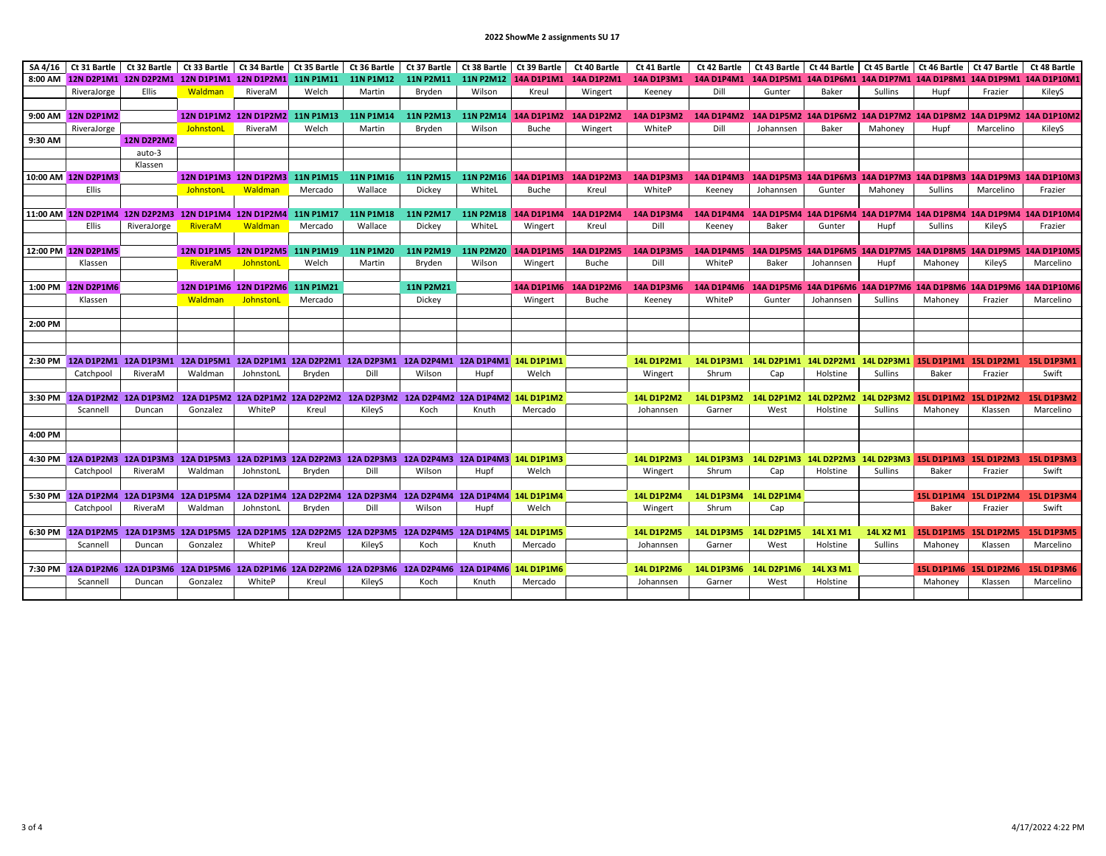## **2022 ShowMe 2 assignments SU 17**

| SA 4/16 |                     |                   | Ct 31 Bartle   Ct 32 Bartle   Ct 33 Bartle   Ct 34 Bartle   Ct 35 Bartle |                                 |         | Ct 36 Bartle     | Ct 37 Bartle                                                                                               | Ct 38 Bartle | Ct 39 Bartle | Ct 40 Bartle                                                                                                      | Ct 41 Bartle                                         | Ct 42 Bartle                                                                             |                       | Ct 43 Bartle   Ct 44 Bartle   Ct 45 Bartle   Ct 46 Bartle   Ct 47 Bartle     |           |                |                       | Ct 48 Bartle                                                                  |
|---------|---------------------|-------------------|--------------------------------------------------------------------------|---------------------------------|---------|------------------|------------------------------------------------------------------------------------------------------------|--------------|--------------|-------------------------------------------------------------------------------------------------------------------|------------------------------------------------------|------------------------------------------------------------------------------------------|-----------------------|------------------------------------------------------------------------------|-----------|----------------|-----------------------|-------------------------------------------------------------------------------|
|         |                     |                   |                                                                          |                                 |         |                  |                                                                                                            |              |              | 8:00 AM 12N D2P1M1 12N D2P2M1 12N D1P1M1 12N D1P2M1 11N P1M11 11N P1M12 11N P2M11 11N P2M12 14A D1P1M1 14A D1P2M1 |                                                      | 14A D1P3M1 14A D1P4M1 14A D1P5M1 14A D1P6M1 14A D1P7M1 14A D1P8M1 14A D1P9M1 14A D1P10M1 |                       |                                                                              |           |                |                       |                                                                               |
|         | RiveraJorge         | <b>Ellis</b>      | Waldman                                                                  | RiveraM                         | Welch   | Martin           | Bryden                                                                                                     | Wilson       | Kreul        | Wingert                                                                                                           | Keeney                                               | Dill                                                                                     | Gunter                | Baker                                                                        | Sullins   | Hupf           | Frazier               | KileyS                                                                        |
|         |                     |                   |                                                                          |                                 |         |                  |                                                                                                            |              |              |                                                                                                                   |                                                      |                                                                                          |                       |                                                                              |           |                |                       |                                                                               |
|         | 9:00 AM 12N D2P1M2  |                   |                                                                          | 12N D1P1M2 12N D1P2M2 11N P1M13 |         | 11N P1M14        | 11N P2M13                                                                                                  |              |              | 11N P2M14 14A D1P1M2 14A D1P2M2                                                                                   | 14A D1P3M2                                           | 14A D1P4M2                                                                               |                       |                                                                              |           |                |                       | 14A D1P5M2 14A D1P6M2 14A D1P7M2 14A D1P8M2 14A D1P9M2 14A D1P10M2            |
|         | RiveraJorge         |                   | JohnstonL                                                                | RiveraM                         | Welch   | Martin           | Bryden                                                                                                     | Wilson       | <b>Buche</b> | Wingert                                                                                                           | WhiteP                                               | Dill                                                                                     | Johannsen             | Baker                                                                        | Mahoney   | Hupf           | Marcelino             | KileyS                                                                        |
| 9:30 AM |                     | <b>12N D2P2M2</b> |                                                                          |                                 |         |                  |                                                                                                            |              |              |                                                                                                                   |                                                      |                                                                                          |                       |                                                                              |           |                |                       |                                                                               |
|         |                     | auto-3            |                                                                          |                                 |         |                  |                                                                                                            |              |              |                                                                                                                   |                                                      |                                                                                          |                       |                                                                              |           |                |                       |                                                                               |
|         |                     | Klassen           |                                                                          |                                 |         |                  |                                                                                                            |              |              |                                                                                                                   |                                                      |                                                                                          |                       |                                                                              |           |                |                       |                                                                               |
|         | 10:00 AM 12N D2P1M3 |                   |                                                                          | 12N D1P1M3 12N D1P2M3 11N P1M15 |         | <b>11N P1M16</b> |                                                                                                            |              |              | 11N P2M15 11N P2M16 14A D1P1M3 14A D1P2M3                                                                         | 14A D1P3M3                                           | 14A D1P4M3 14A D1P5M3 14A D1P6M3 14A D1P7M3 14A D1P8M3 14A D1P9M3 14A D1P10M3            |                       |                                                                              |           |                |                       |                                                                               |
|         | Ellis               |                   | JohnstonL                                                                | Waldman                         | Mercado | Wallace          | Dickey                                                                                                     | WhiteL       | Buche        | Kreul                                                                                                             | WhiteP                                               | Keeney                                                                                   | Johannsen             | Gunter                                                                       | Mahoney   | Sullins        | Marcelino             | Frazier                                                                       |
|         |                     |                   |                                                                          |                                 |         |                  |                                                                                                            |              |              |                                                                                                                   |                                                      |                                                                                          |                       |                                                                              |           |                |                       |                                                                               |
|         |                     |                   | 11:00 AM 12N D2P1M4 12N D2P2M3 12N D1P1M4 12N D1P2M4 11N P1M17           |                                 |         | 11N P1M18        |                                                                                                            |              |              | 11N P2M17 11N P2M18 14A D1P1M4 14A D1P2M4                                                                         | 14A D1P3M4                                           |                                                                                          |                       |                                                                              |           |                |                       | 14A D1P4M4 14A D1P5M4 14A D1P6M4 14A D1P7M4 14A D1P8M4 14A D1P9M4 14A D1P10M4 |
|         |                     |                   |                                                                          |                                 |         |                  |                                                                                                            |              |              |                                                                                                                   |                                                      |                                                                                          |                       |                                                                              |           |                |                       |                                                                               |
|         | <b>Ellis</b>        | RiveraJorge       | RiveraM                                                                  | Waldman                         | Mercado | Wallace          | Dickey                                                                                                     | WhiteL       | Wingert      | Kreul                                                                                                             | Dill                                                 | Keeney                                                                                   | Baker                 | Gunter                                                                       | Hupf      | <b>Sullins</b> | KileyS                | Frazier                                                                       |
|         |                     |                   |                                                                          |                                 |         |                  |                                                                                                            |              |              |                                                                                                                   |                                                      |                                                                                          |                       |                                                                              |           |                |                       |                                                                               |
|         | 12:00 PM 12N D2P1M5 |                   | 12N D1P1M5 12N D1P2M5 11N P1M19                                          |                                 |         | <b>11N P1M20</b> |                                                                                                            |              |              |                                                                                                                   | 11N P2M19 11N P2M20 14A D1P1M5 14A D1P2M5 14A D1P3M5 | 14A D1P4M5 14A D1P5M5 14A D1P6M5 14A D1P7M5 14A D1P8M5 14A D1P9M5 14A D1P10M5            |                       |                                                                              |           |                |                       |                                                                               |
|         | Klassen             |                   | RiveraM                                                                  | JohnstonL                       | Welch   | Martin           | Bryden                                                                                                     | Wilson       | Wingert      | Buche                                                                                                             | Dill                                                 | WhiteP                                                                                   | Baker                 | Johannsen                                                                    | Hupf      | Mahoney        | KileyS                | Marcelino                                                                     |
|         |                     |                   |                                                                          |                                 |         |                  |                                                                                                            |              |              |                                                                                                                   |                                                      |                                                                                          |                       |                                                                              |           |                |                       |                                                                               |
|         | 1:00 PM 12N D2P1M6  |                   | 12N D1P1M6 12N D1P2M6 11N P1M21                                          |                                 |         |                  | 11N P2M21                                                                                                  |              |              | 14A D1P1M6 14A D1P2M6                                                                                             | 14A D1P3M6                                           |                                                                                          |                       |                                                                              |           |                |                       | 14A D1P4M6 14A D1P5M6 14A D1P6M6 14A D1P7M6 14A D1P8M6 14A D1P9M6 14A D1P10M6 |
|         | Klassen             |                   | Waldman                                                                  | JohnstonL                       | Mercado |                  | Dickey                                                                                                     |              | Wingert      | Buche                                                                                                             | Keeney                                               | WhiteP                                                                                   | Gunter                | Johannsen                                                                    | Sullins   | Mahoney        | Frazier               | Marcelino                                                                     |
|         |                     |                   |                                                                          |                                 |         |                  |                                                                                                            |              |              |                                                                                                                   |                                                      |                                                                                          |                       |                                                                              |           |                |                       |                                                                               |
| 2:00 PM |                     |                   |                                                                          |                                 |         |                  |                                                                                                            |              |              |                                                                                                                   |                                                      |                                                                                          |                       |                                                                              |           |                |                       |                                                                               |
|         |                     |                   |                                                                          |                                 |         |                  |                                                                                                            |              |              |                                                                                                                   |                                                      |                                                                                          |                       |                                                                              |           |                |                       |                                                                               |
|         |                     |                   |                                                                          |                                 |         |                  |                                                                                                            |              |              |                                                                                                                   |                                                      |                                                                                          |                       |                                                                              |           |                |                       |                                                                               |
|         |                     |                   |                                                                          |                                 |         |                  | 2:30 PM 12A D1P2M1 12A D1P3M1 12A D1P5M1 12A D2P1M1 12A D2P2M1 12A D2P3M1 12A D2P4M1 12A D1P4M1 14L D1P1M1 |              |              |                                                                                                                   | 14L D1P2M1                                           |                                                                                          |                       | 14L D1P3M1 14L D2P1M1 14L D2P2M1 14L D2P3M1 15L D1P1M1 15L D1P2M1 15L D1P3M1 |           |                |                       |                                                                               |
|         | Catchpool           | RiveraM           | Waldman                                                                  | JohnstonL                       | Bryden  | Dill             | Wilson                                                                                                     | Hupf         | Welch        |                                                                                                                   | Wingert                                              | Shrum                                                                                    | Cap                   | Holstine                                                                     | Sullins   | Baker          | Frazier               | Swift                                                                         |
|         |                     |                   |                                                                          |                                 |         |                  |                                                                                                            |              |              |                                                                                                                   |                                                      |                                                                                          |                       |                                                                              |           |                |                       |                                                                               |
|         |                     |                   |                                                                          |                                 |         |                  | 3:30 PM 12A D1P2M2 12A D1P3M2 12A D1P5M2 12A D2P1M2 12A D2P2M2 12A D2P3M2 12A D2P4M2 12A D1P4M2 14L D1P1M2 |              |              |                                                                                                                   | <b>14L D1P2M2</b>                                    |                                                                                          |                       | 14L D1P3M2  14L D2P1M2  14L D2P2M2  14L D2P3M2  15L D1P1M2  15L D1P2M2       |           |                |                       | 15L D1P3M2                                                                    |
|         | Scannell            | Duncan            | Gonzalez                                                                 | WhiteP                          | Kreul   | KileyS           | Koch                                                                                                       | Knuth        | Mercado      |                                                                                                                   | Johannsen                                            | Garner                                                                                   | West                  | Holstine                                                                     | Sullins   | Mahoney        | Klassen               | Marcelino                                                                     |
|         |                     |                   |                                                                          |                                 |         |                  |                                                                                                            |              |              |                                                                                                                   |                                                      |                                                                                          |                       |                                                                              |           |                |                       |                                                                               |
| 4:00 PM |                     |                   |                                                                          |                                 |         |                  |                                                                                                            |              |              |                                                                                                                   |                                                      |                                                                                          |                       |                                                                              |           |                |                       |                                                                               |
|         |                     |                   |                                                                          |                                 |         |                  |                                                                                                            |              |              |                                                                                                                   |                                                      |                                                                                          |                       |                                                                              |           |                |                       |                                                                               |
|         |                     |                   |                                                                          |                                 |         |                  | 4:30 PM 12A D1P2M3 12A D1P3M3 12A D1P5M3 12A D2P1M3 12A D2P2M3 12A D2P3M3 12A D2P4M3 12A D1P4M3 14L D1P1M3 |              |              |                                                                                                                   | <b>14L D1P2M3</b>                                    |                                                                                          |                       | 14L D1P3M3 14L D2P1M3 14L D2P2M3 14L D2P3M3 15L D1P1M3 15L D1P2M3 15L D1P3M3 |           |                |                       |                                                                               |
|         | Catchpool           | RiveraM           | Waldman                                                                  | JohnstonL                       | Bryden  | Dill             | Wilson                                                                                                     | Hupf         | Welch        |                                                                                                                   | Wingert                                              | Shrum                                                                                    | Cap                   | Holstine                                                                     | Sullins   | Baker          | Frazier               | Swift                                                                         |
|         |                     |                   |                                                                          |                                 |         |                  |                                                                                                            |              |              |                                                                                                                   |                                                      |                                                                                          |                       |                                                                              |           |                |                       |                                                                               |
|         |                     |                   |                                                                          |                                 |         |                  | 5:30 PM 12A D1P2M4 12A D1P3M4 12A D1P5M4 12A D2P1M4 12A D2P2M4 12A D2P3M4 12A D2P4M4 12A D1P4M4 14L D1P1M4 |              |              |                                                                                                                   | <b>14L D1P2M4</b>                                    | 14L D1P3M4 14L D2P1M4                                                                    |                       |                                                                              |           |                | 15L D1P1M4 15L D1P2M4 | 15L D1P3M4                                                                    |
|         | Catchpool           | RiveraM           | Waldman                                                                  | JohnstonL                       | Bryden  | Dill             | Wilson                                                                                                     | Hupf         | Welch        |                                                                                                                   | Wingert                                              | Shrum                                                                                    | Cap                   |                                                                              |           | Baker          | Frazier               | Swift                                                                         |
|         |                     |                   |                                                                          |                                 |         |                  |                                                                                                            |              |              |                                                                                                                   |                                                      |                                                                                          |                       |                                                                              |           |                |                       |                                                                               |
|         | 6:30 PM 12A D1P2M5  |                   |                                                                          |                                 |         |                  | 12A D1P3M5 12A D1P5M5 12A D2P1M5 12A D2P2M5 12A D2P3M5 12A D2P4M5 12A D1P4M5 14L D1P1M5                    |              |              |                                                                                                                   | <b>14L D1P2M5</b>                                    |                                                                                          | 14L D1P3M5 14L D2P1M5 | 14L X1 M1                                                                    | 14L X2 M1 |                | 15L D1P1M5 15L D1P2M5 | 15L D1P3M5                                                                    |
|         | Scannell            | Duncan            | Gonzalez                                                                 | WhiteP                          | Kreul   | KileyS           | Koch                                                                                                       | Knuth        | Mercado      |                                                                                                                   | Johannsen                                            | Garner                                                                                   | West                  | Holstine                                                                     | Sullins   | Mahoney        | Klassen               | Marcelino                                                                     |
|         |                     |                   |                                                                          |                                 |         |                  |                                                                                                            |              |              |                                                                                                                   |                                                      |                                                                                          |                       |                                                                              |           |                |                       |                                                                               |
|         |                     |                   |                                                                          |                                 |         |                  | 7:30 PM 12A D1P2M6 12A D1P3M6 12A D1P5M6 12A D2P1M6 12A D2P2M6 12A D2P3M6 12A D2P4M6 12A D1P4M6 14L D1P1M6 |              |              |                                                                                                                   |                                                      |                                                                                          | 14L D1P3M6 14L D2P1M6 | 14L X3 M1                                                                    |           |                |                       |                                                                               |
|         |                     |                   |                                                                          |                                 |         |                  |                                                                                                            |              |              |                                                                                                                   | <b>14L D1P2M6</b>                                    |                                                                                          |                       |                                                                              |           |                |                       | 15L D1P1M6 15L D1P2M6 15L D1P3M6                                              |
|         | Scannell            | Duncan            | Gonzalez                                                                 | WhiteP                          | Kreul   | KileyS           | Koch                                                                                                       | Knuth        | Mercado      |                                                                                                                   | Johannsen                                            | Garner                                                                                   | West                  | Holstine                                                                     |           | Mahoney        | Klassen               | Marcelino                                                                     |
|         |                     |                   |                                                                          |                                 |         |                  |                                                                                                            |              |              |                                                                                                                   |                                                      |                                                                                          |                       |                                                                              |           |                |                       |                                                                               |